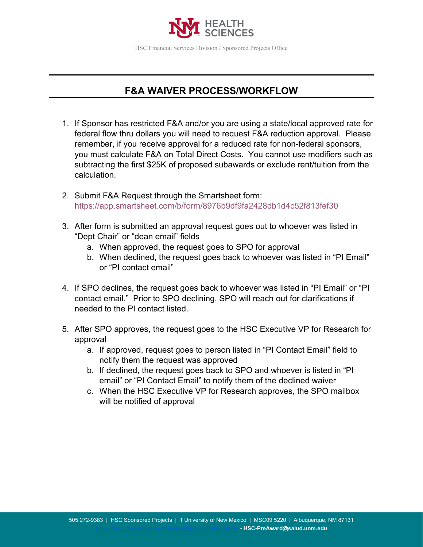

## **F&A WAIVER PROCESS/WORKFLOW**

- 1. If Sponsor has restricted F&A and/or you are using a state/local approved rate for federal flow thru dollars you will need to request F&A reduction approval. Please remember, if you receive approval for a reduced rate for non-federal sponsors, you must calculate F&A on Total Direct Costs. You cannot use modifiers such as subtracting the first \$25K of proposed subawards or exclude rent/tuition from the calculation.
- 2. Submit F&A Request through the Smartsheet form: <https://app.smartsheet.com/b/form/8976b9df9fa2428db1d4c52f813fef30>
- 3. After form is submitted an approval request goes out to whoever was listed in "Dept Chair" or "dean email" fields
	- a. When approved, the request goes to SPO for approval
	- b. When declined, the request goes back to whoever was listed in "PI Email" or "PI contact email"
- 4. If SPO declines, the request goes back to whoever was listed in "PI Email" or "PI contact email." Prior to SPO declining, SPO will reach out for clarifications if needed to the PI contact listed.
- 5. After SPO approves, the request goes to the HSC Executive VP for Research for approval
	- a. If approved, request goes to person listed in "PI Contact Email" field to notify them the request was approved
	- b. If declined, the request goes back to SPO and whoever is listed in "PI email" or "PI Contact Email" to notify them of the declined waiver
	- c. When the HSC Executive VP for Research approves, the SPO mailbox will be notified of approval